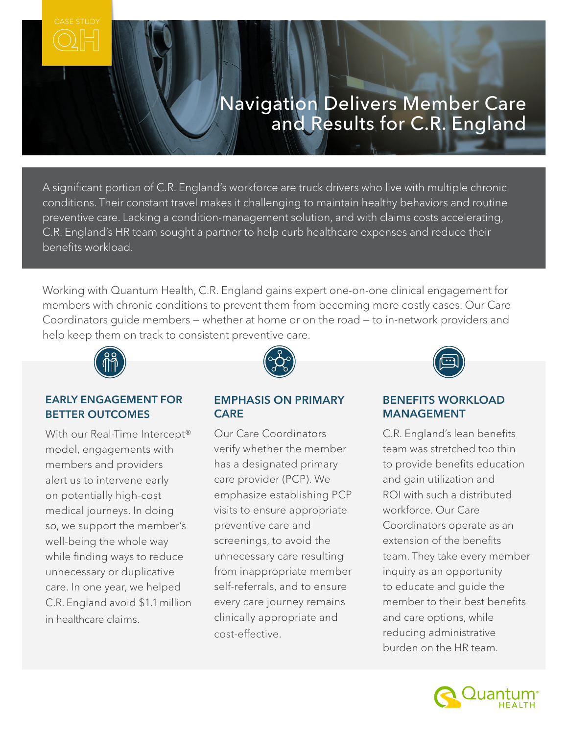# Navigation Delivers Member Care and Results for C.R. England

A significant portion of C.R. England's workforce are truck drivers who live with multiple chronic conditions. Their constant travel makes it challenging to maintain healthy behaviors and routine preventive care. Lacking a condition-management solution, and with claims costs accelerating, C.R. England's HR team sought a partner to help curb healthcare expenses and reduce their benefits workload.

Working with Quantum Health, C.R. England gains expert one-on-one clinical engagement for members with chronic conditions to prevent them from becoming more costly cases. Our Care Coordinators guide members — whether at home or on the road — to in-network providers and help keep them on track to consistent preventive care.



#### EARLY ENGAGEMENT FOR BETTER OUTCOMES

With our Real-Time Intercept<sup>®</sup> model, engagements with members and providers alert us to intervene early on potentially high-cost medical journeys. In doing so, we support the member's well-being the whole way while finding ways to reduce unnecessary or duplicative care. In one year, we helped C.R. England avoid \$1.1 million in healthcare claims.



#### EMPHASIS ON PRIMARY **CARE**

Our Care Coordinators verify whether the member has a designated primary care provider (PCP). We emphasize establishing PCP visits to ensure appropriate preventive care and screenings, to avoid the unnecessary care resulting from inappropriate member self-referrals, and to ensure every care journey remains clinically appropriate and cost-effective.



#### BENEFITS WORKLOAD MANAGEMENT

C.R. England's lean benefits team was stretched too thin to provide benefits education and gain utilization and ROI with such a distributed workforce. Our Care Coordinators operate as an extension of the benefits team. They take every member inquiry as an opportunity to educate and guide the member to their best benefits and care options, while reducing administrative burden on the HR team.